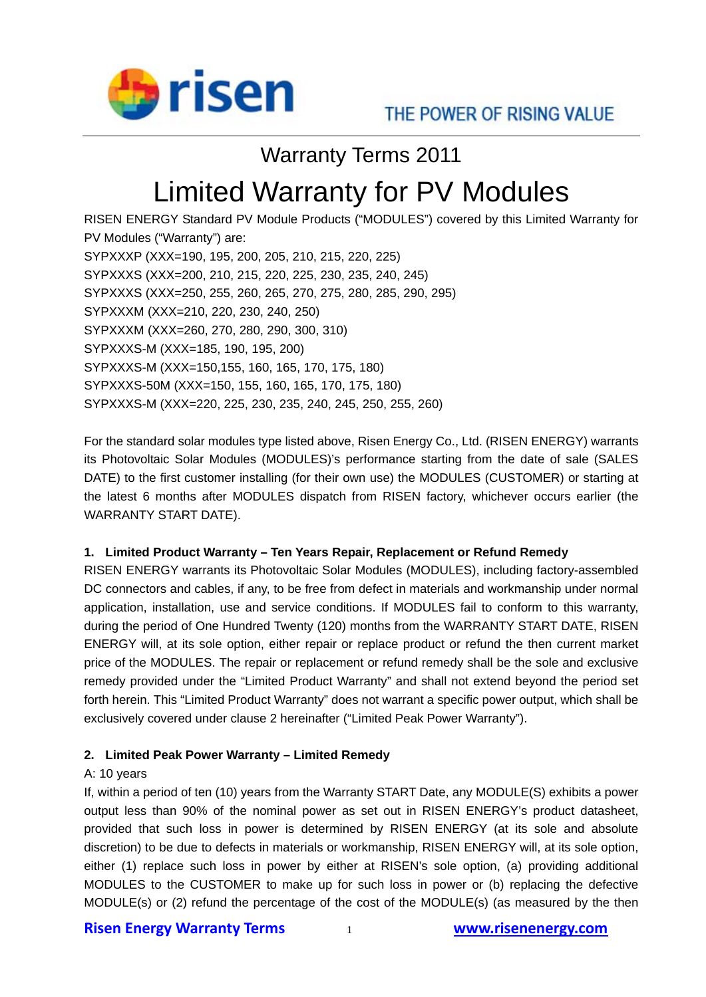

# Warranty Terms 2011

# Limited Warranty for PV Modules

RISEN ENERGY Standard PV Module Products ("MODULES") covered by this Limited Warranty for PV Modules ("Warranty") are: SYPXXXP (XXX=190, 195, 200, 205, 210, 215, 220, 225) SYPXXXS (XXX=200, 210, 215, 220, 225, 230, 235, 240, 245) SYPXXXS (XXX=250, 255, 260, 265, 270, 275, 280, 285, 290, 295) SYPXXXM (XXX=210, 220, 230, 240, 250) SYPXXXM (XXX=260, 270, 280, 290, 300, 310) SYPXXXS-M (XXX=185, 190, 195, 200) SYPXXXS-M (XXX=150,155, 160, 165, 170, 175, 180) SYPXXXS-50M (XXX=150, 155, 160, 165, 170, 175, 180) SYPXXXS-M (XXX=220, 225, 230, 235, 240, 245, 250, 255, 260)

For the standard solar modules type listed above, Risen Energy Co., Ltd. (RISEN ENERGY) warrants its Photovoltaic Solar Modules (MODULES)'s performance starting from the date of sale (SALES DATE) to the first customer installing (for their own use) the MODULES (CUSTOMER) or starting at the latest 6 months after MODULES dispatch from RISEN factory, whichever occurs earlier (the WARRANTY START DATE).

### **1. Limited Product Warranty – Ten Years Repair, Replacement or Refund Remedy**

RISEN ENERGY warrants its Photovoltaic Solar Modules (MODULES), including factory-assembled DC connectors and cables, if any, to be free from defect in materials and workmanship under normal application, installation, use and service conditions. If MODULES fail to conform to this warranty, during the period of One Hundred Twenty (120) months from the WARRANTY START DATE, RISEN ENERGY will, at its sole option, either repair or replace product or refund the then current market price of the MODULES. The repair or replacement or refund remedy shall be the sole and exclusive remedy provided under the "Limited Product Warranty" and shall not extend beyond the period set forth herein. This "Limited Product Warranty" does not warrant a specific power output, which shall be exclusively covered under clause 2 hereinafter ("Limited Peak Power Warranty").

### **2. Limited Peak Power Warranty – Limited Remedy**

### A: 10 years

If, within a period of ten (10) years from the Warranty START Date, any MODULE(S) exhibits a power output less than 90% of the nominal power as set out in RISEN ENERGY's product datasheet, provided that such loss in power is determined by RISEN ENERGY (at its sole and absolute discretion) to be due to defects in materials or workmanship, RISEN ENERGY will, at its sole option, either (1) replace such loss in power by either at RISEN's sole option, (a) providing additional MODULES to the CUSTOMER to make up for such loss in power or (b) replacing the defective MODULE(s) or (2) refund the percentage of the cost of the MODULE(s) (as measured by the then

### **Risen Energy Warranty Terms** 1 **www.risenenergy.com**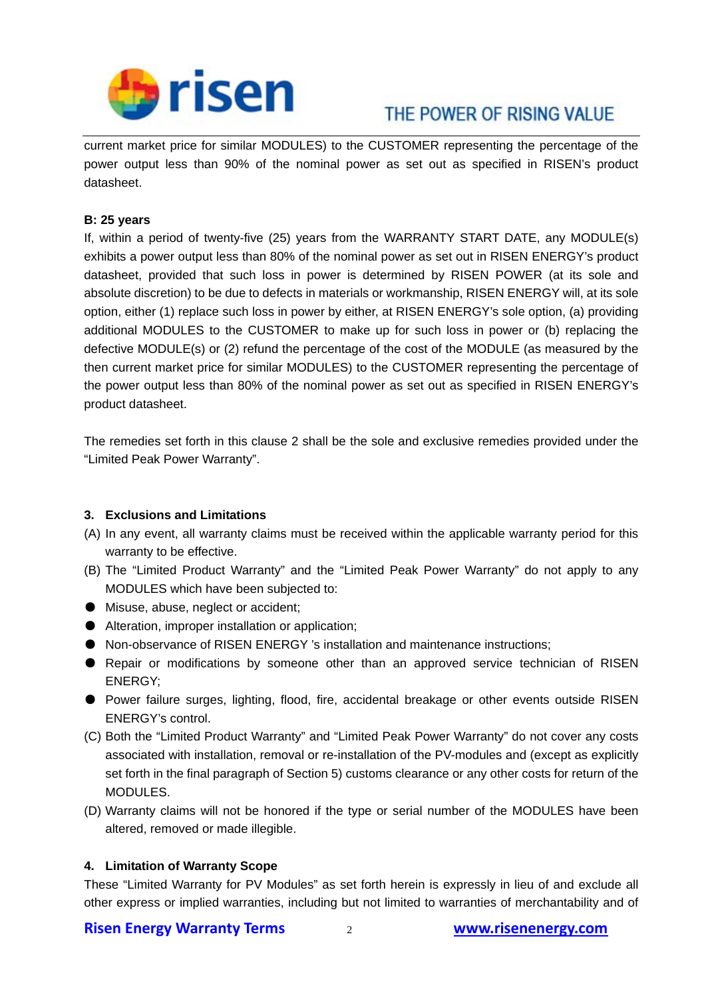

# THE POWER OF RISING VALUE

current market price for similar MODULES) to the CUSTOMER representing the percentage of the power output less than 90% of the nominal power as set out as specified in RISEN's product datasheet.

#### **B: 25 years**

If, within a period of twenty-five (25) years from the WARRANTY START DATE, any MODULE(s) exhibits a power output less than 80% of the nominal power as set out in RISEN ENERGY's product datasheet, provided that such loss in power is determined by RISEN POWER (at its sole and absolute discretion) to be due to defects in materials or workmanship, RISEN ENERGY will, at its sole option, either (1) replace such loss in power by either, at RISEN ENERGY's sole option, (a) providing additional MODULES to the CUSTOMER to make up for such loss in power or (b) replacing the defective MODULE(s) or (2) refund the percentage of the cost of the MODULE (as measured by the then current market price for similar MODULES) to the CUSTOMER representing the percentage of the power output less than 80% of the nominal power as set out as specified in RISEN ENERGY's product datasheet.

The remedies set forth in this clause 2 shall be the sole and exclusive remedies provided under the "Limited Peak Power Warranty".

### **3. Exclusions and Limitations**

- (A) In any event, all warranty claims must be received within the applicable warranty period for this warranty to be effective.
- (B) The "Limited Product Warranty" and the "Limited Peak Power Warranty" do not apply to any MODULES which have been subjected to:
- Misuse, abuse, neglect or accident:
- Alteration, improper installation or application:
- Non-observance of RISEN ENERGY 's installation and maintenance instructions:
- Repair or modifications by someone other than an approved service technician of RISEN ENERGY;
- Power failure surges, lighting, flood, fire, accidental breakage or other events outside RISEN ENERGY's control.
- (C) Both the "Limited Product Warranty" and "Limited Peak Power Warranty" do not cover any costs associated with installation, removal or re-installation of the PV-modules and (except as explicitly set forth in the final paragraph of Section 5) customs clearance or any other costs for return of the MODULES.
- (D) Warranty claims will not be honored if the type or serial number of the MODULES have been altered, removed or made illegible.

#### **4. Limitation of Warranty Scope**

These "Limited Warranty for PV Modules" as set forth herein is expressly in lieu of and exclude all other express or implied warranties, including but not limited to warranties of merchantability and of

### **Risen Energy Warranty Terms** 2 **www.risenenergy.com**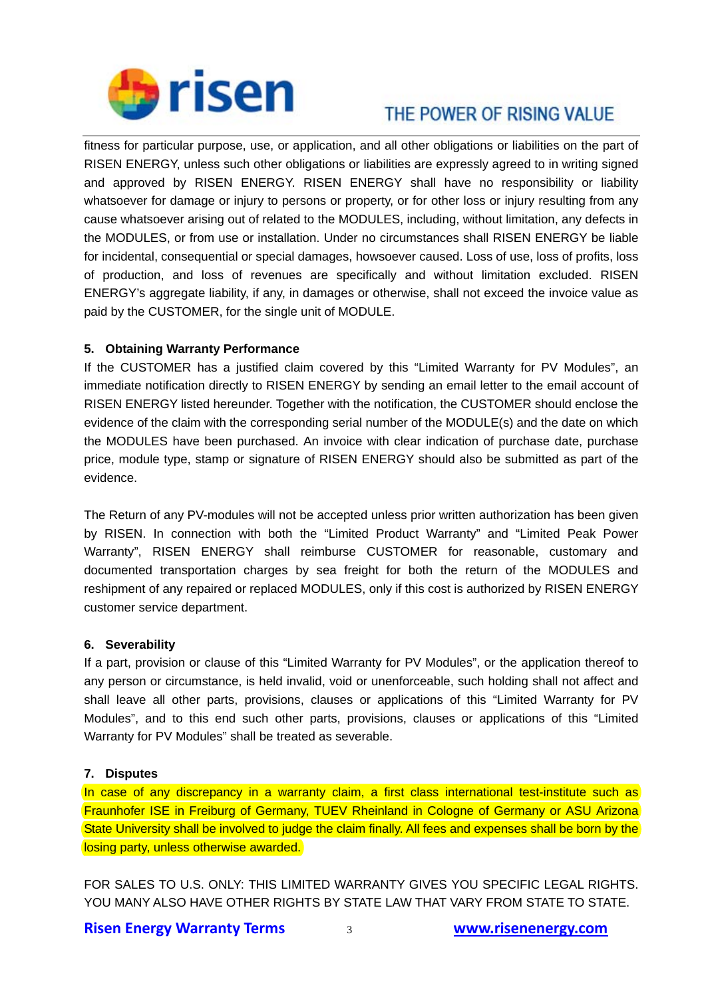

# THE POWER OF RISING VALUE

fitness for particular purpose, use, or application, and all other obligations or liabilities on the part of RISEN ENERGY, unless such other obligations or liabilities are expressly agreed to in writing signed and approved by RISEN ENERGY. RISEN ENERGY shall have no responsibility or liability whatsoever for damage or injury to persons or property, or for other loss or injury resulting from any cause whatsoever arising out of related to the MODULES, including, without limitation, any defects in the MODULES, or from use or installation. Under no circumstances shall RISEN ENERGY be liable for incidental, consequential or special damages, howsoever caused. Loss of use, loss of profits, loss of production, and loss of revenues are specifically and without limitation excluded. RISEN ENERGY's aggregate liability, if any, in damages or otherwise, shall not exceed the invoice value as paid by the CUSTOMER, for the single unit of MODULE.

### **5. Obtaining Warranty Performance**

If the CUSTOMER has a justified claim covered by this "Limited Warranty for PV Modules", an immediate notification directly to RISEN ENERGY by sending an email letter to the email account of RISEN ENERGY listed hereunder. Together with the notification, the CUSTOMER should enclose the evidence of the claim with the corresponding serial number of the MODULE(s) and the date on which the MODULES have been purchased. An invoice with clear indication of purchase date, purchase price, module type, stamp or signature of RISEN ENERGY should also be submitted as part of the evidence.

The Return of any PV-modules will not be accepted unless prior written authorization has been given by RISEN. In connection with both the "Limited Product Warranty" and "Limited Peak Power Warranty", RISEN ENERGY shall reimburse CUSTOMER for reasonable, customary and documented transportation charges by sea freight for both the return of the MODULES and reshipment of any repaired or replaced MODULES, only if this cost is authorized by RISEN ENERGY customer service department.

### **6. Severability**

If a part, provision or clause of this "Limited Warranty for PV Modules", or the application thereof to any person or circumstance, is held invalid, void or unenforceable, such holding shall not affect and shall leave all other parts, provisions, clauses or applications of this "Limited Warranty for PV Modules", and to this end such other parts, provisions, clauses or applications of this "Limited Warranty for PV Modules" shall be treated as severable.

### **7. Disputes**

In case of any discrepancy in a warranty claim, a first class international test-institute such as Fraunhofer ISE in Freiburg of Germany, TUEV Rheinland in Cologne of Germany or ASU Arizona State University shall be involved to judge the claim finally. All fees and expenses shall be born by the losing party, unless otherwise awarded.

FOR SALES TO U.S. ONLY: THIS LIMITED WARRANTY GIVES YOU SPECIFIC LEGAL RIGHTS. YOU MANY ALSO HAVE OTHER RIGHTS BY STATE LAW THAT VARY FROM STATE TO STATE.

### **Risen Energy Warranty Terms** 3 **www.risenenergy.com**